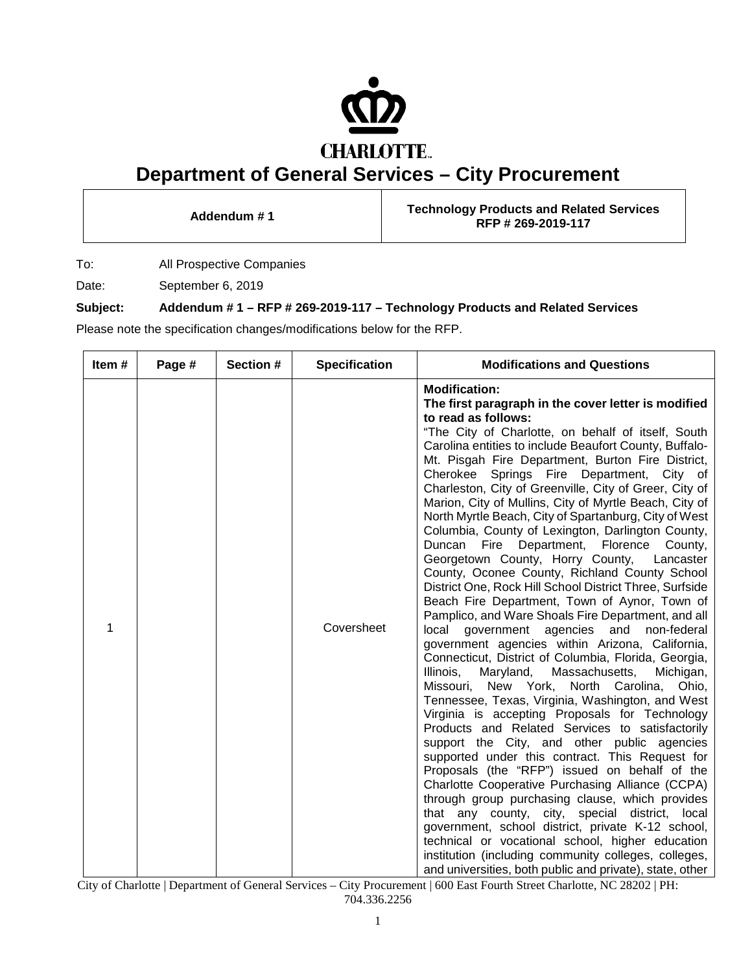

## **Department of General Services – City Procurement**

**Addendum # <sup>1</sup> Technology Products and Related Services RFP # 269-2019-117**

To: All Prospective Companies

Date: September 6, 2019

## **Subject: Addendum # 1 – RFP # 269-2019-117 – Technology Products and Related Services**

Please note the specification changes/modifications below for the RFP.

| Item# | Page # | Section # | <b>Specification</b> | <b>Modifications and Questions</b>                                                                                                                                                                                                                                                                                                                                                                                                                                                                                                                                                                                                                                                                                                                                                                                                                                                                                                                                                                                                                                                                                                                                                                                                                                                                                                                                                                                                                                                                                                                                                                                                                                                                                                                                                                                                  |
|-------|--------|-----------|----------------------|-------------------------------------------------------------------------------------------------------------------------------------------------------------------------------------------------------------------------------------------------------------------------------------------------------------------------------------------------------------------------------------------------------------------------------------------------------------------------------------------------------------------------------------------------------------------------------------------------------------------------------------------------------------------------------------------------------------------------------------------------------------------------------------------------------------------------------------------------------------------------------------------------------------------------------------------------------------------------------------------------------------------------------------------------------------------------------------------------------------------------------------------------------------------------------------------------------------------------------------------------------------------------------------------------------------------------------------------------------------------------------------------------------------------------------------------------------------------------------------------------------------------------------------------------------------------------------------------------------------------------------------------------------------------------------------------------------------------------------------------------------------------------------------------------------------------------------------|
| 1     |        |           | Coversheet           | <b>Modification:</b><br>The first paragraph in the cover letter is modified<br>to read as follows:<br>"The City of Charlotte, on behalf of itself, South<br>Carolina entities to include Beaufort County, Buffalo-<br>Mt. Pisgah Fire Department, Burton Fire District,<br>Cherokee Springs Fire Department, City of<br>Charleston, City of Greenville, City of Greer, City of<br>Marion, City of Mullins, City of Myrtle Beach, City of<br>North Myrtle Beach, City of Spartanburg, City of West<br>Columbia, County of Lexington, Darlington County,<br>Duncan Fire Department, Florence County,<br>Georgetown County, Horry County, Lancaster<br>County, Oconee County, Richland County School<br>District One, Rock Hill School District Three, Surfside<br>Beach Fire Department, Town of Aynor, Town of<br>Pamplico, and Ware Shoals Fire Department, and all<br>local government agencies and non-federal<br>government agencies within Arizona, California,<br>Connecticut, District of Columbia, Florida, Georgia,<br>Massachusetts,<br>Maryland,<br>Michigan,<br>Illinois,<br>Missouri, New York, North Carolina, Ohio,<br>Tennessee, Texas, Virginia, Washington, and West<br>Virginia is accepting Proposals for Technology<br>Products and Related Services to satisfactorily<br>support the City, and other public agencies<br>supported under this contract. This Request for<br>Proposals (the "RFP") issued on behalf of the<br>Charlotte Cooperative Purchasing Alliance (CCPA)<br>through group purchasing clause, which provides<br>that any county, city, special district, local<br>government, school district, private K-12 school,<br>technical or vocational school, higher education<br>institution (including community colleges, colleges,<br>and universities, both public and private), state, other |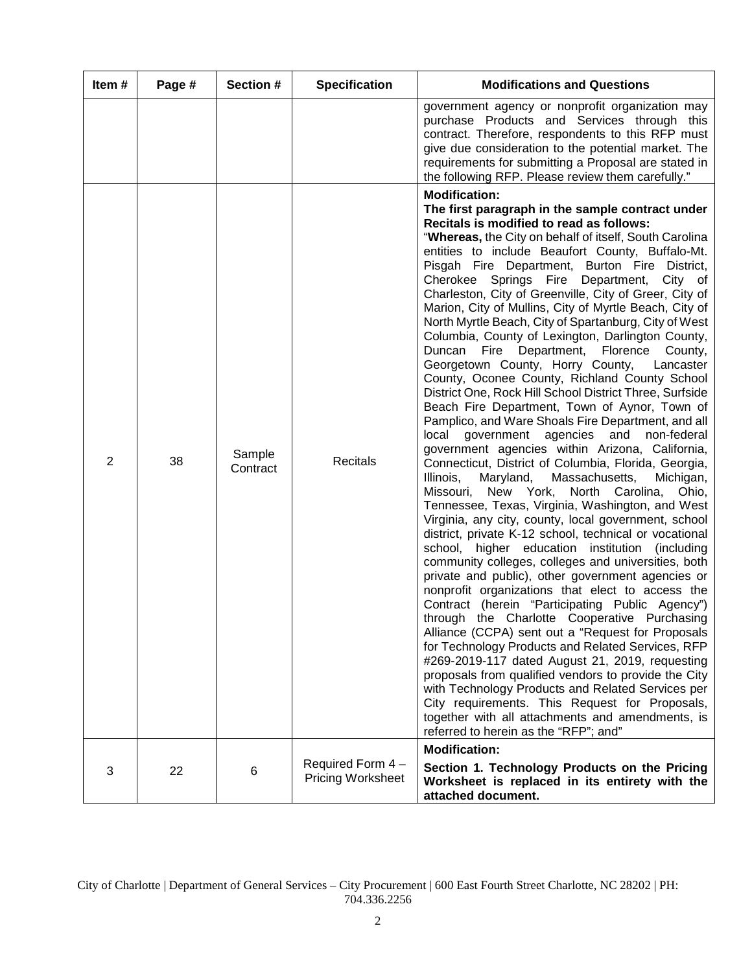| Item#          | Page # | Section #          | <b>Specification</b>                         | <b>Modifications and Questions</b>                                                                                                                                                                                                                                                                                                                                                                                                                                                                                                                                                                                                                                                                                                                                                                                                                                                                                                                                                                                                                                                                                                                                                                                                                                                                                                                                                                                                                                                                                                                                                                                                                                                                                                                                                                                                                                                                                                                                                                                                                                                            |
|----------------|--------|--------------------|----------------------------------------------|-----------------------------------------------------------------------------------------------------------------------------------------------------------------------------------------------------------------------------------------------------------------------------------------------------------------------------------------------------------------------------------------------------------------------------------------------------------------------------------------------------------------------------------------------------------------------------------------------------------------------------------------------------------------------------------------------------------------------------------------------------------------------------------------------------------------------------------------------------------------------------------------------------------------------------------------------------------------------------------------------------------------------------------------------------------------------------------------------------------------------------------------------------------------------------------------------------------------------------------------------------------------------------------------------------------------------------------------------------------------------------------------------------------------------------------------------------------------------------------------------------------------------------------------------------------------------------------------------------------------------------------------------------------------------------------------------------------------------------------------------------------------------------------------------------------------------------------------------------------------------------------------------------------------------------------------------------------------------------------------------------------------------------------------------------------------------------------------------|
|                |        |                    |                                              | government agency or nonprofit organization may<br>purchase Products and Services through this<br>contract. Therefore, respondents to this RFP must<br>give due consideration to the potential market. The<br>requirements for submitting a Proposal are stated in<br>the following RFP. Please review them carefully."                                                                                                                                                                                                                                                                                                                                                                                                                                                                                                                                                                                                                                                                                                                                                                                                                                                                                                                                                                                                                                                                                                                                                                                                                                                                                                                                                                                                                                                                                                                                                                                                                                                                                                                                                                       |
| $\overline{2}$ | 38     | Sample<br>Contract | Recitals                                     | <b>Modification:</b><br>The first paragraph in the sample contract under<br>Recitals is modified to read as follows:<br>"Whereas, the City on behalf of itself, South Carolina<br>entities to include Beaufort County, Buffalo-Mt.<br>Pisgah Fire Department, Burton Fire District,<br>Cherokee Springs Fire Department,<br>City of<br>Charleston, City of Greenville, City of Greer, City of<br>Marion, City of Mullins, City of Myrtle Beach, City of<br>North Myrtle Beach, City of Spartanburg, City of West<br>Columbia, County of Lexington, Darlington County,<br>Fire Department, Florence<br>Duncan<br>County,<br>Georgetown County, Horry County,<br>Lancaster<br>County, Oconee County, Richland County School<br>District One, Rock Hill School District Three, Surfside<br>Beach Fire Department, Town of Aynor, Town of<br>Pamplico, and Ware Shoals Fire Department, and all<br>local<br>government agencies<br>and<br>non-federal<br>government agencies within Arizona, California,<br>Connecticut, District of Columbia, Florida, Georgia,<br>Illinois,<br>Maryland,<br>Massachusetts,<br>Michigan,<br>Missouri,<br>New York, North Carolina,<br>Ohio,<br>Tennessee, Texas, Virginia, Washington, and West<br>Virginia, any city, county, local government, school<br>district, private K-12 school, technical or vocational<br>school, higher education institution (including<br>community colleges, colleges and universities, both<br>private and public), other government agencies or<br>nonprofit organizations that elect to access the<br>Contract (herein "Participating Public Agency")<br>through the Charlotte Cooperative Purchasing<br>Alliance (CCPA) sent out a "Request for Proposals<br>for Technology Products and Related Services, RFP<br>#269-2019-117 dated August 21, 2019, requesting<br>proposals from qualified vendors to provide the City<br>with Technology Products and Related Services per<br>City requirements. This Request for Proposals,<br>together with all attachments and amendments, is<br>referred to herein as the "RFP"; and" |
| 3              | 22     | 6                  | Required Form 4-<br><b>Pricing Worksheet</b> | <b>Modification:</b><br>Section 1. Technology Products on the Pricing<br>Worksheet is replaced in its entirety with the<br>attached document.                                                                                                                                                                                                                                                                                                                                                                                                                                                                                                                                                                                                                                                                                                                                                                                                                                                                                                                                                                                                                                                                                                                                                                                                                                                                                                                                                                                                                                                                                                                                                                                                                                                                                                                                                                                                                                                                                                                                                 |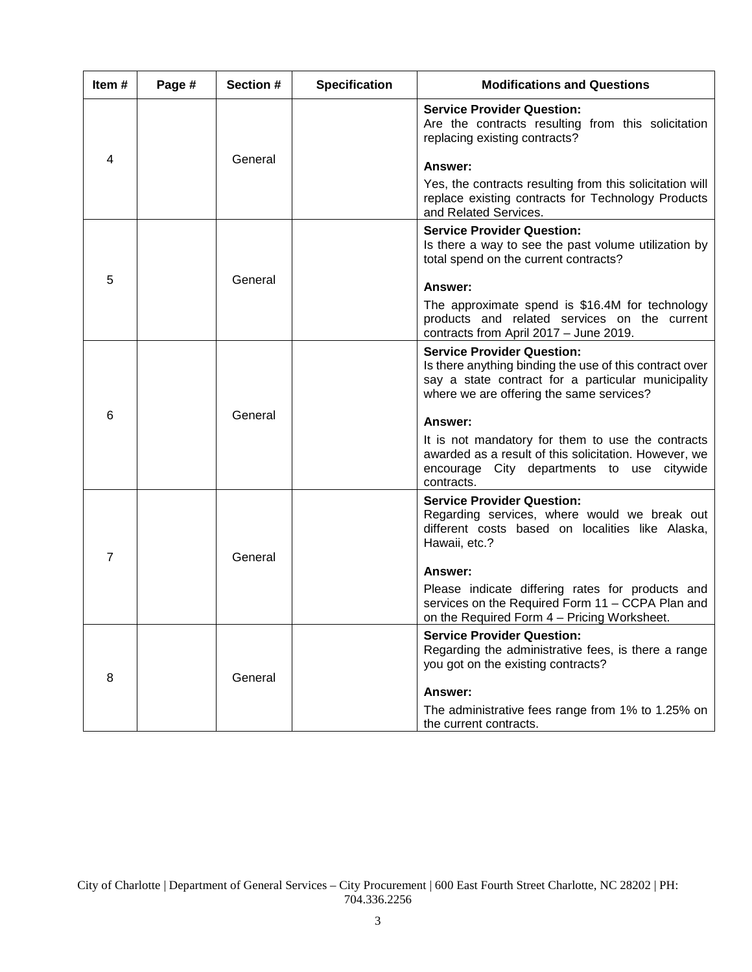| Item# | Page #  | Section # | <b>Specification</b>                                                                                                                      | <b>Modifications and Questions</b>                                                                                                                                                             |
|-------|---------|-----------|-------------------------------------------------------------------------------------------------------------------------------------------|------------------------------------------------------------------------------------------------------------------------------------------------------------------------------------------------|
|       |         |           |                                                                                                                                           | <b>Service Provider Question:</b><br>Are the contracts resulting from this solicitation<br>replacing existing contracts?                                                                       |
| 4     |         | General   |                                                                                                                                           | Answer:                                                                                                                                                                                        |
|       |         |           |                                                                                                                                           | Yes, the contracts resulting from this solicitation will<br>replace existing contracts for Technology Products<br>and Related Services.                                                        |
|       | General |           |                                                                                                                                           | <b>Service Provider Question:</b><br>Is there a way to see the past volume utilization by<br>total spend on the current contracts?                                                             |
| 5     |         |           |                                                                                                                                           | Answer:                                                                                                                                                                                        |
|       |         |           | The approximate spend is \$16.4M for technology<br>products and related services on the current<br>contracts from April 2017 - June 2019. |                                                                                                                                                                                                |
|       |         |           |                                                                                                                                           | <b>Service Provider Question:</b><br>Is there anything binding the use of this contract over<br>say a state contract for a particular municipality<br>where we are offering the same services? |
| 6     |         | General   |                                                                                                                                           | Answer:                                                                                                                                                                                        |
|       |         |           |                                                                                                                                           | It is not mandatory for them to use the contracts<br>awarded as a result of this solicitation. However, we<br>encourage City departments to use citywide<br>contracts.                         |
|       | General |           |                                                                                                                                           | <b>Service Provider Question:</b><br>Regarding services, where would we break out<br>different costs based on localities like Alaska,<br>Hawaii, etc.?                                         |
| 7     |         |           | Answer:                                                                                                                                   |                                                                                                                                                                                                |
|       |         |           |                                                                                                                                           | Please indicate differing rates for products and<br>services on the Required Form 11 - CCPA Plan and<br>on the Required Form 4 – Pricing Worksheet.                                            |
| 8     |         |           | <b>Service Provider Question:</b><br>Regarding the administrative fees, is there a range<br>you got on the existing contracts?            |                                                                                                                                                                                                |
|       |         | General   |                                                                                                                                           | Answer:                                                                                                                                                                                        |
|       |         |           |                                                                                                                                           | The administrative fees range from 1% to 1.25% on<br>the current contracts.                                                                                                                    |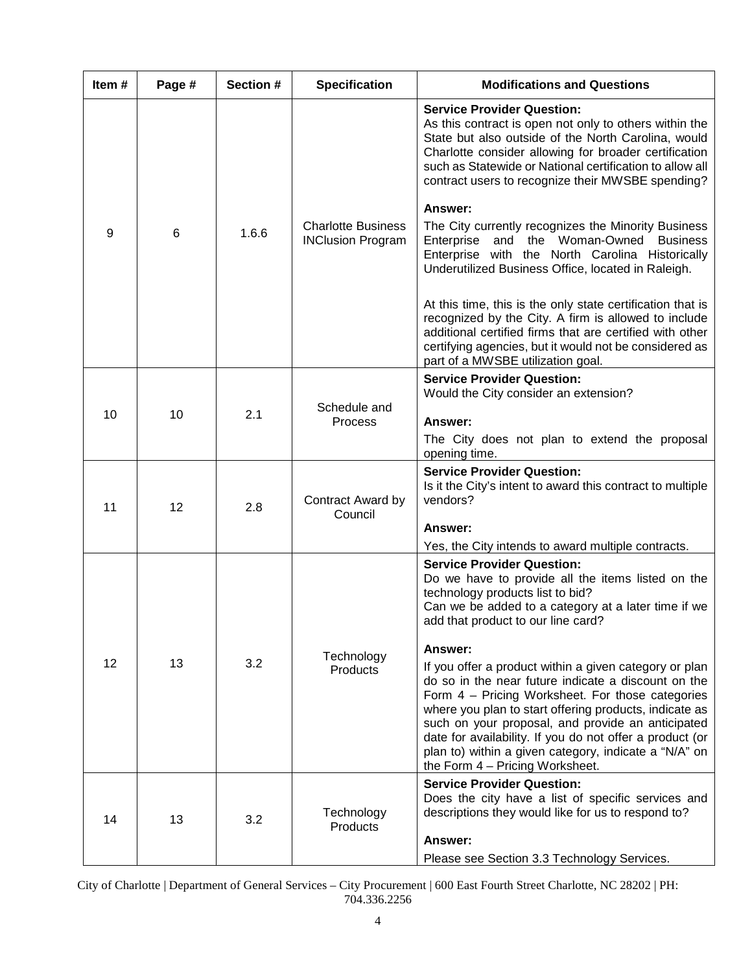| Item# | Page # | <b>Section #</b> | <b>Specification</b>                                  | <b>Modifications and Questions</b>                                                                                                                                                                                                                                                                                                                                                                                                                    |
|-------|--------|------------------|-------------------------------------------------------|-------------------------------------------------------------------------------------------------------------------------------------------------------------------------------------------------------------------------------------------------------------------------------------------------------------------------------------------------------------------------------------------------------------------------------------------------------|
|       |        |                  |                                                       | <b>Service Provider Question:</b><br>As this contract is open not only to others within the<br>State but also outside of the North Carolina, would<br>Charlotte consider allowing for broader certification<br>such as Statewide or National certification to allow all<br>contract users to recognize their MWSBE spending?                                                                                                                          |
| 9     | 6      | 1.6.6            | <b>Charlotte Business</b><br><b>INClusion Program</b> | Answer:<br>The City currently recognizes the Minority Business<br>and the Woman-Owned Business<br>Enterprise<br>Enterprise with the North Carolina Historically<br>Underutilized Business Office, located in Raleigh.                                                                                                                                                                                                                                 |
|       |        |                  |                                                       | At this time, this is the only state certification that is<br>recognized by the City. A firm is allowed to include<br>additional certified firms that are certified with other<br>certifying agencies, but it would not be considered as<br>part of a MWSBE utilization goal.                                                                                                                                                                         |
| 10    | 10     | 2.1              | Schedule and<br><b>Process</b>                        | <b>Service Provider Question:</b><br>Would the City consider an extension?<br>Answer:                                                                                                                                                                                                                                                                                                                                                                 |
|       |        |                  |                                                       | The City does not plan to extend the proposal<br>opening time.                                                                                                                                                                                                                                                                                                                                                                                        |
| 11    | 12     | 2.8              | Contract Award by<br>Council                          | <b>Service Provider Question:</b><br>Is it the City's intent to award this contract to multiple<br>vendors?                                                                                                                                                                                                                                                                                                                                           |
|       |        |                  |                                                       | Answer:<br>Yes, the City intends to award multiple contracts.                                                                                                                                                                                                                                                                                                                                                                                         |
|       |        |                  | Technology<br>Products                                | <b>Service Provider Question:</b><br>Do we have to provide all the items listed on the<br>technology products list to bid?<br>Can we be added to a category at a later time if we<br>add that product to our line card?                                                                                                                                                                                                                               |
| 12    | 13     | 3.2              |                                                       | Answer:<br>If you offer a product within a given category or plan<br>do so in the near future indicate a discount on the<br>Form 4 - Pricing Worksheet. For those categories<br>where you plan to start offering products, indicate as<br>such on your proposal, and provide an anticipated<br>date for availability. If you do not offer a product (or<br>plan to) within a given category, indicate a "N/A" on<br>the Form $4$ – Pricing Worksheet. |
| 14    | 13     | 3.2              | Technology<br>Products                                | <b>Service Provider Question:</b><br>Does the city have a list of specific services and<br>descriptions they would like for us to respond to?<br>Answer:<br>Please see Section 3.3 Technology Services.                                                                                                                                                                                                                                               |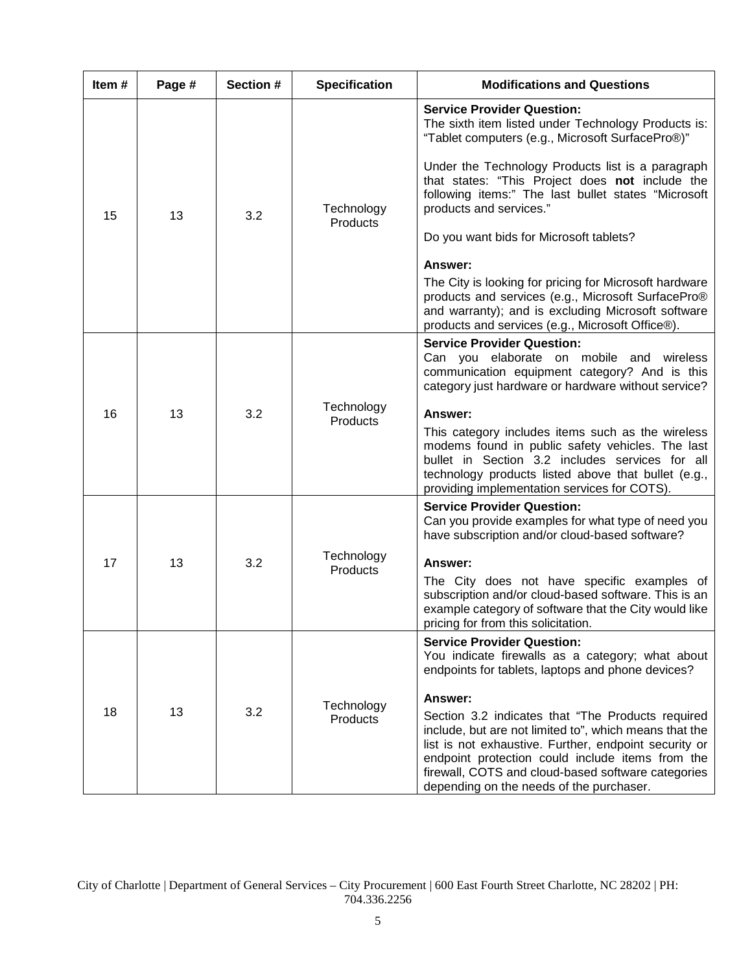| Item# | Page # | Section # | <b>Specification</b>   | <b>Modifications and Questions</b>                                                                                                                                                                                                                                                                                                                                                                                                                                                                                                                                                                                     |
|-------|--------|-----------|------------------------|------------------------------------------------------------------------------------------------------------------------------------------------------------------------------------------------------------------------------------------------------------------------------------------------------------------------------------------------------------------------------------------------------------------------------------------------------------------------------------------------------------------------------------------------------------------------------------------------------------------------|
| 15    | 13     | 3.2       | Technology<br>Products | <b>Service Provider Question:</b><br>The sixth item listed under Technology Products is:<br>"Tablet computers (e.g., Microsoft SurfacePro®)"<br>Under the Technology Products list is a paragraph<br>that states: "This Project does not include the<br>following items:" The last bullet states "Microsoft<br>products and services."<br>Do you want bids for Microsoft tablets?<br>Answer:<br>The City is looking for pricing for Microsoft hardware<br>products and services (e.g., Microsoft SurfacePro®<br>and warranty); and is excluding Microsoft software<br>products and services (e.g., Microsoft Office®). |
| 16    | 13     | 3.2       | Technology<br>Products | <b>Service Provider Question:</b><br>Can you elaborate on mobile and wireless<br>communication equipment category? And is this<br>category just hardware or hardware without service?<br>Answer:<br>This category includes items such as the wireless<br>modems found in public safety vehicles. The last<br>bullet in Section 3.2 includes services for all<br>technology products listed above that bullet (e.g.,<br>providing implementation services for COTS).                                                                                                                                                    |
| 17    | 13     | 3.2       | Technology<br>Products | <b>Service Provider Question:</b><br>Can you provide examples for what type of need you<br>have subscription and/or cloud-based software?<br>Answer:<br>The City does not have specific examples of<br>subscription and/or cloud-based software. This is an<br>example category of software that the City would like<br>pricing for from this solicitation.                                                                                                                                                                                                                                                            |
| 18    | 13     | 3.2       | Technology<br>Products | <b>Service Provider Question:</b><br>You indicate firewalls as a category; what about<br>endpoints for tablets, laptops and phone devices?<br>Answer:<br>Section 3.2 indicates that "The Products required<br>include, but are not limited to", which means that the<br>list is not exhaustive. Further, endpoint security or<br>endpoint protection could include items from the<br>firewall, COTS and cloud-based software categories<br>depending on the needs of the purchaser.                                                                                                                                    |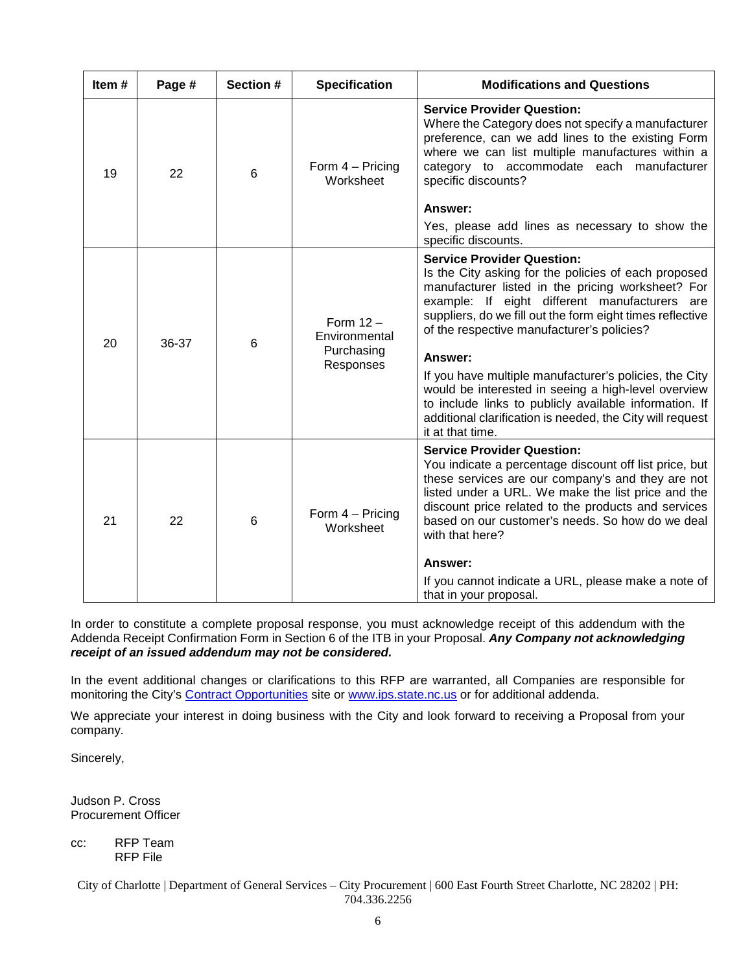| Item $#$ | Page # | Section #       | <b>Specification</b>                                    | <b>Modifications and Questions</b>                                                                                                                                                                                                                                                                                                                                                                                                                                                                                                                                                |
|----------|--------|-----------------|---------------------------------------------------------|-----------------------------------------------------------------------------------------------------------------------------------------------------------------------------------------------------------------------------------------------------------------------------------------------------------------------------------------------------------------------------------------------------------------------------------------------------------------------------------------------------------------------------------------------------------------------------------|
| 19       | 22     | $6\phantom{1}6$ | Form $4 -$ Pricing<br>Worksheet                         | <b>Service Provider Question:</b><br>Where the Category does not specify a manufacturer<br>preference, can we add lines to the existing Form<br>where we can list multiple manufactures within a<br>category to accommodate each manufacturer<br>specific discounts?<br>Answer:<br>Yes, please add lines as necessary to show the<br>specific discounts.                                                                                                                                                                                                                          |
| 20       | 36-37  | 6               | Form $12 -$<br>Environmental<br>Purchasing<br>Responses | <b>Service Provider Question:</b><br>Is the City asking for the policies of each proposed<br>manufacturer listed in the pricing worksheet? For<br>example: If eight different manufacturers are<br>suppliers, do we fill out the form eight times reflective<br>of the respective manufacturer's policies?<br>Answer:<br>If you have multiple manufacturer's policies, the City<br>would be interested in seeing a high-level overview<br>to include links to publicly available information. If<br>additional clarification is needed, the City will request<br>it at that time. |
| 21       | 22     | 6               | Form 4 - Pricing<br>Worksheet                           | <b>Service Provider Question:</b><br>You indicate a percentage discount off list price, but<br>these services are our company's and they are not<br>listed under a URL. We make the list price and the<br>discount price related to the products and services<br>based on our customer's needs. So how do we deal<br>with that here?<br><b>Answer:</b><br>If you cannot indicate a URL, please make a note of<br>that in your proposal.                                                                                                                                           |

In order to constitute a complete proposal response, you must acknowledge receipt of this addendum with the Addenda Receipt Confirmation Form in Section 6 of the ITB in your Proposal. *Any Company not acknowledging receipt of an issued addendum may not be considered.*

In the event additional changes or clarifications to this RFP are warranted, all Companies are responsible for monitoring the City's [Contract Opportunities](http://charlottenc.gov/DoingBusiness/pages/ContractOpportunities.aspx) site or [www.ips.state.nc.us](http://www.ips.state.nc.us/) or for additional addenda.

We appreciate your interest in doing business with the City and look forward to receiving a Proposal from your company.

Sincerely,

Judson P. Cross Procurement Officer

cc: RFP Team RFP File